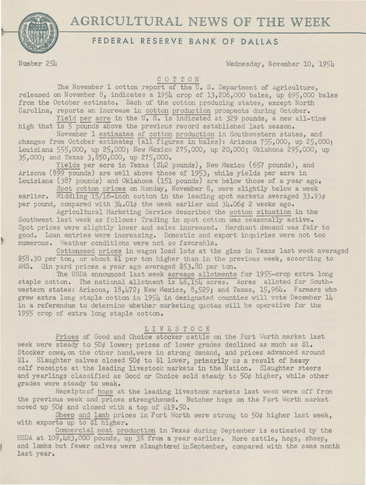## AGRICULTURAL NEWS OF THE WEEK



## **FEDERAL RESERVE BANK OF DALLAS**

Number 254 Wednesday, November 10, 1954

COTTON

The November 1 cotton report of the U.S. Department of Agriculture, released on November  $8$ , indicates a 1954 crop of 13,206,000 bales, up 695,000 bales from the October estimate. Each of the cotton producing states, except North Carolina, reports an increase in cotton production prospects during October,

Yield per acre in the  $U_s$ . S. is indicated at 329 pounds, a new all-time high that is  $5$  pounds above the previous record established last season.

November 1 estimates of cotton production in Southwestern states, and changes from October estimates (all figures in bales): Arizona 755,000, up 25,000; Louisiana 555,000, up 25,000; New Mexico 275,000, up 20,000; Oklahoma 295,000, up 35,000; and Texas 3,850,COO, up 275,000.

Yields per acre in Texas (242 pounds), New Mexico (657 pounds), and Arizona (899 pounds) are well above those of 1953, while yields per acre in Louisiana (387 pounds) and Oklahoma (151 pounds) are below those of a year ago.

Spot cotton prices on Monday, November 8, were slightly below a week earlier. Middling 15/16-inch cotton in the leading spot markets averaged *33.93¢*  per pound, compared with 34.01¢ the week earlier and 34.06¢ 2 weeks ago.

Agricultural Marketing Service described the cotton situation in the Southwest last week as follows: Trading in spot cotton was seasonally active. Spot prices were slightly lower and sales increased. Merchant demand was fair to good. Loan entries were increasing. Domestic and export inquiries were not too numerous. Weather conditions were not so favorable.

Cottonseed prices in wagon load lots at the gins in Texas last week averaged \$58.JO per ton, or about \$1 per ton higher than in the previous week, according to AMS. Gin yard prices a year ago averaged \$53.80 per ton.

The USDA announced last week acreage allotments for 1955-crop extra long staple cotton. The national allotment is  $\overline{46,154}$  acres. Acres alloted for Southwestern states: Arizona, 18,472; New Mexico, 8,529; and Texas, 15,964. Farmers who grew extra long staple cotton in 1954 in designated counties will vote December 14 in a referendum to determine whether marketing quotas will be operative for the 1955 crop of extra long staple cotton.

## 1 I V E S T 0 C K

Prices of Good and Choice stocker cattle on the Fort Worth market last week were steady to *50¢* lower; prices of lower grades declined as much as \$1. Stocker cows, on the other hand, were in strong demand, and prices advanced around \$1. Slaughter calves closed 50¢ to \$1 lower, primarily as a result of heavy calf receipts at the leading livestock markets in the Nation. Slaughter steers and yearlings classified as Good or Choice sold steady to *50¢* higher, while other grades were steady to weak.

Receiptsof hogs at the leading livestock markets last week were off from the previous week and prices strengthened. Butcher hogs on the Fort Worth market moved up 50¢ and closed with a top of \$19.50.

Sheep and lamb prices in Fort Worth were strong to 50¢ higher last week, with exports up to \$1 higher.

Commercial meat production in Texas during September is estimated by the USDA at 109,463,000 pounds, up 3% from a year earlier. More cattle, hogs, sheep, and lambs but fewer calves were slaughtered inSeptember, compared with the same month last year.